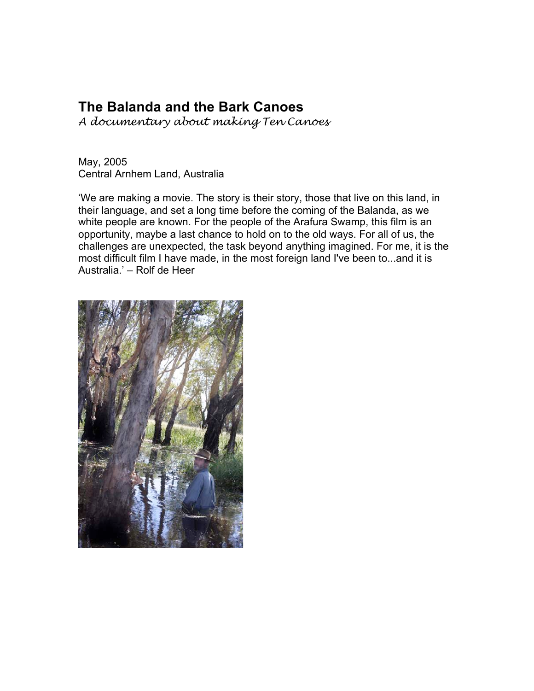# **The Balanda and the Bark Canoes**

*A documentary about making Ten Canoes*

May, 2005 Central Arnhem Land, Australia

'We are making a movie. The story is their story, those that live on this land, in their language, and set a long time before the coming of the Balanda, as we white people are known. For the people of the Arafura Swamp, this film is an opportunity, maybe a last chance to hold on to the old ways. For all of us, the challenges are unexpected, the task beyond anything imagined. For me, it is the most difficult film I have made, in the most foreign land I've been to...and it is Australia.' – Rolf de Heer

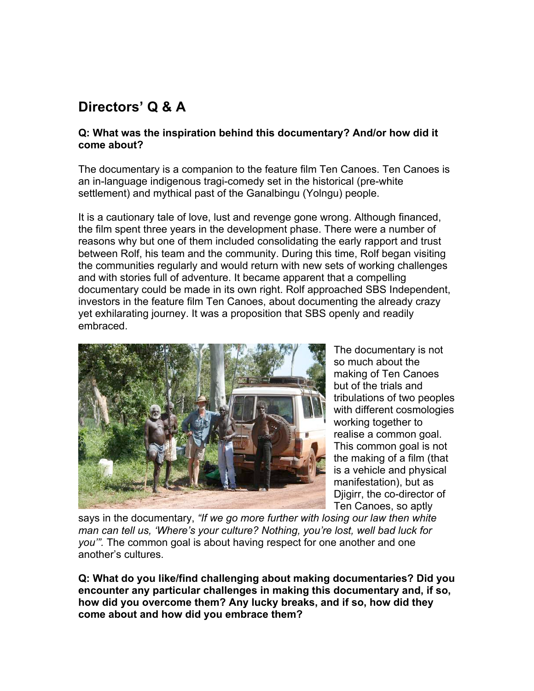# **Directors' Q & A**

### **Q: What was the inspiration behind this documentary? And/or how did it come about?**

The documentary is a companion to the feature film Ten Canoes. Ten Canoes is an in-language indigenous tragi-comedy set in the historical (pre-white settlement) and mythical past of the Ganalbingu (Yolngu) people.

It is a cautionary tale of love, lust and revenge gone wrong. Although financed, the film spent three years in the development phase. There were a number of reasons why but one of them included consolidating the early rapport and trust between Rolf, his team and the community. During this time, Rolf began visiting the communities regularly and would return with new sets of working challenges and with stories full of adventure. It became apparent that a compelling documentary could be made in its own right. Rolf approached SBS Independent, investors in the feature film Ten Canoes, about documenting the already crazy yet exhilarating journey. It was a proposition that SBS openly and readily embraced.

![](_page_1_Picture_4.jpeg)

The documentary is not so much about the making of Ten Canoes but of the trials and tribulations of two peoples with different cosmologies working together to realise a common goal. This common goal is not the making of a film (that is a vehicle and physical manifestation), but as Djigirr, the co-director of Ten Canoes, so aptly

says in the documentary, *"If we go more further with losing our law then white man can tell us, 'Where's your culture? Nothing, you're lost, well bad luck for you'".* The common goal is about having respect for one another and one another's cultures.

**Q: What do you like/find challenging about making documentaries? Did you encounter any particular challenges in making this documentary and, if so, how did you overcome them? Any lucky breaks, and if so, how did they come about and how did you embrace them?**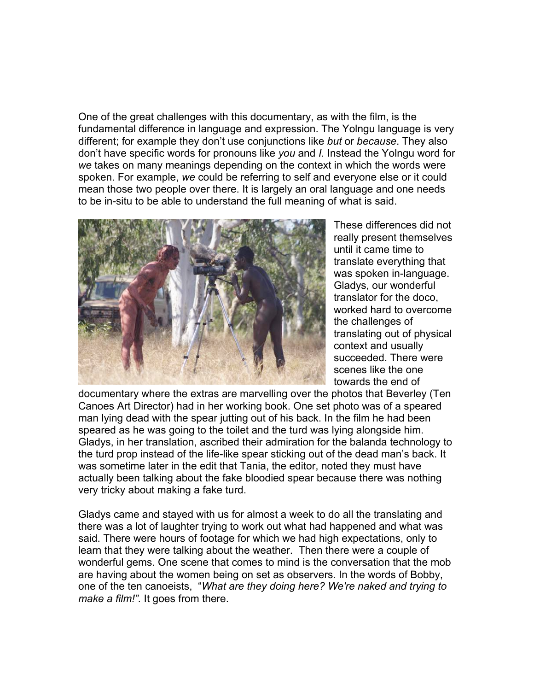One of the great challenges with this documentary, as with the film, is the fundamental difference in language and expression. The Yolngu language is very different; for example they don't use conjunctions like *but* or *because*. They also don't have specific words for pronouns like *you* and *I.* Instead the Yolngu word for *we* takes on many meanings depending on the context in which the words were spoken. For example, *we* could be referring to self and everyone else or it could mean those two people over there. It is largely an oral language and one needs to be in-situ to be able to understand the full meaning of what is said.

![](_page_2_Picture_1.jpeg)

These differences did not really present themselves until it came time to translate everything that was spoken in-language. Gladys, our wonderful translator for the doco, worked hard to overcome the challenges of translating out of physical context and usually succeeded. There were scenes like the one towards the end of

documentary where the extras are marvelling over the photos that Beverley (Ten Canoes Art Director) had in her working book. One set photo was of a speared man lying dead with the spear jutting out of his back. In the film he had been speared as he was going to the toilet and the turd was lying alongside him. Gladys, in her translation, ascribed their admiration for the balanda technology to the turd prop instead of the life-like spear sticking out of the dead man's back. It was sometime later in the edit that Tania, the editor, noted they must have actually been talking about the fake bloodied spear because there was nothing very tricky about making a fake turd.

Gladys came and stayed with us for almost a week to do all the translating and there was a lot of laughter trying to work out what had happened and what was said. There were hours of footage for which we had high expectations, only to learn that they were talking about the weather. Then there were a couple of wonderful gems. One scene that comes to mind is the conversation that the mob are having about the women being on set as observers. In the words of Bobby, one of the ten canoeists, "*What are they doing here? We're naked and trying to make a film!".* It goes from there.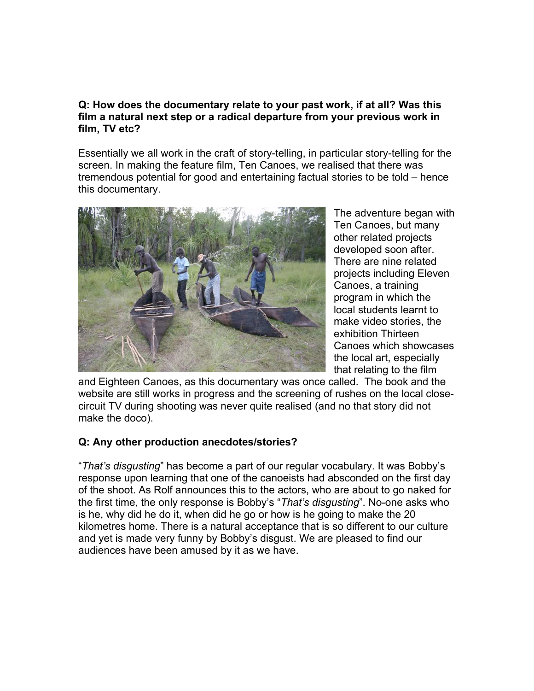### **Q: How does the documentary relate to your past work, if at all? Was this film a natural next step or a radical departure from your previous work in film, TV etc?**

Essentially we all work in the craft of story-telling, in particular story-telling for the screen. In making the feature film, Ten Canoes, we realised that there was tremendous potential for good and entertaining factual stories to be told – hence this documentary.

![](_page_3_Picture_2.jpeg)

The adventure began with Ten Canoes, but many other related projects developed soon after. There are nine related projects including Eleven Canoes, a training program in which the local students learnt to make video stories, the exhibition Thirteen Canoes which showcases the local art, especially that relating to the film

and Eighteen Canoes, as this documentary was once called. The book and the website are still works in progress and the screening of rushes on the local closecircuit TV during shooting was never quite realised (and no that story did not make the doco).

### **Q: Any other production anecdotes/stories?**

"*That's disgusting*" has become a part of our regular vocabulary. It was Bobby's response upon learning that one of the canoeists had absconded on the first day of the shoot. As Rolf announces this to the actors, who are about to go naked for the first time, the only response is Bobby's "*That's disgusting*". No-one asks who is he, why did he do it, when did he go or how is he going to make the 20 kilometres home. There is a natural acceptance that is so different to our culture and yet is made very funny by Bobby's disgust. We are pleased to find our audiences have been amused by it as we have.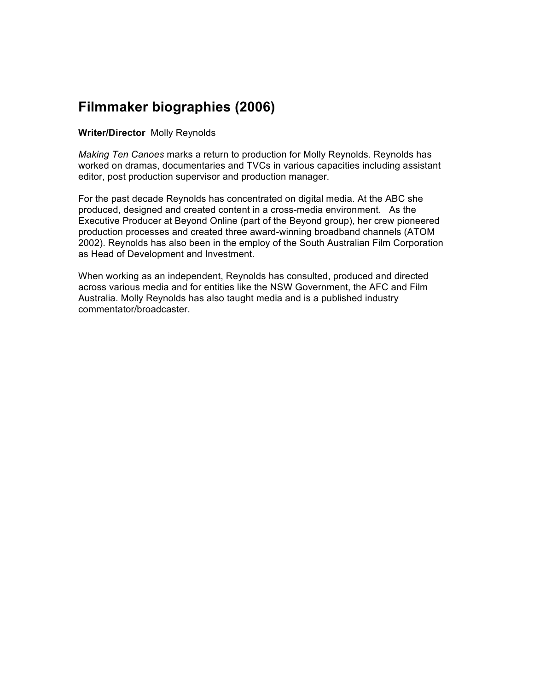# **Filmmaker biographies (2006)**

#### **Writer/Director** Molly Reynolds

*Making Ten Canoes* marks a return to production for Molly Reynolds. Reynolds has worked on dramas, documentaries and TVCs in various capacities including assistant editor, post production supervisor and production manager.

For the past decade Reynolds has concentrated on digital media. At the ABC she produced, designed and created content in a cross-media environment. As the Executive Producer at Beyond Online (part of the Beyond group), her crew pioneered production processes and created three award-winning broadband channels (ATOM 2002). Reynolds has also been in the employ of the South Australian Film Corporation as Head of Development and Investment.

When working as an independent, Reynolds has consulted, produced and directed across various media and for entities like the NSW Government, the AFC and Film Australia. Molly Reynolds has also taught media and is a published industry commentator/broadcaster.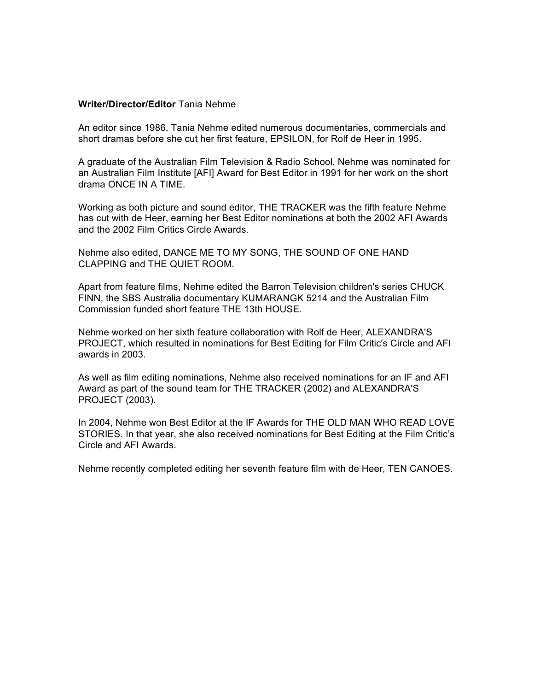#### **Writer/Director/Editor** Tania Nehme

An editor since 1986, Tania Nehme edited numerous documentaries, commercials and short dramas before she cut her first feature, EPSILON, for Rolf de Heer in 1995.

A graduate of the Australian Film Television & Radio School, Nehme was nominated for an Australian Film Institute [AFI] Award for Best Editor in 1991 for her work on the short drama ONCE IN A TIME.

Working as both picture and sound editor, THE TRACKER was the fifth feature Nehme has cut with de Heer, earning her Best Editor nominations at both the 2002 AFI Awards and the 2002 Film Critics Circle Awards.

Nehme also edited, DANCE ME TO MY SONG, THE SOUND OF ONE HAND CLAPPING and THE QUIET ROOM.

Apart from feature films, Nehme edited the Barron Television children's series CHUCK FINN, the SBS Australia documentary KUMARANGK 5214 and the Australian Film Commission funded short feature THE 13th HOUSE.

Nehme worked on her sixth feature collaboration with Rolf de Heer, ALEXANDRA'S PROJECT, which resulted in nominations for Best Editing for Film Critic's Circle and AFI awards in 2003.

As well as film editing nominations, Nehme also received nominations for an IF and AFI Award as part of the sound team for THE TRACKER (2002) and ALEXANDRA'S PROJECT (2003).

In 2004, Nehme won Best Editor at the IF Awards for THE OLD MAN WHO READ LOVE STORIES. In that year, she also received nominations for Best Editing at the Film Critic's Circle and AFI Awards.

Nehme recently completed editing her seventh feature film with de Heer, TEN CANOES.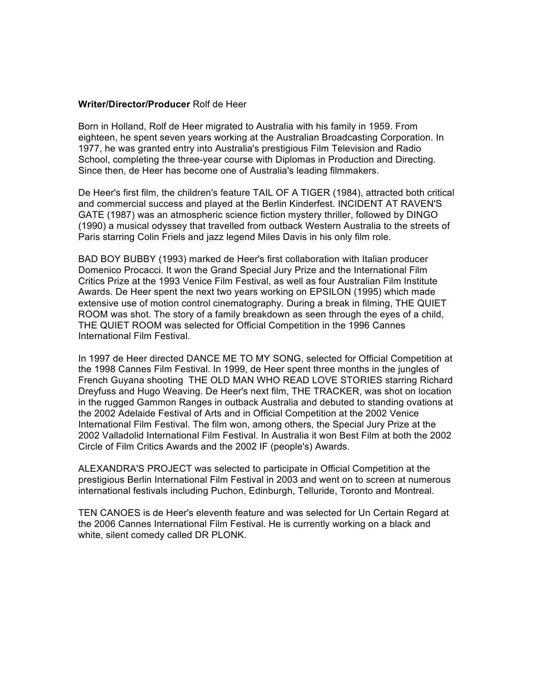#### **Writer/Director/Producer** Rolf de Heer

Born in Holland, Rolf de Heer migrated to Australia with his family in 1959. From eighteen, he spent seven years working at the Australian Broadcasting Corporation. In 1977, he was granted entry into Australia's prestigious Film Television and Radio School, completing the three-year course with Diplomas in Production and Directing. Since then, de Heer has become one of Australia's leading filmmakers.

De Heer's first film, the children's feature TAIL OF A TIGER (1984), attracted both critical and commercial success and played at the Berlin Kinderfest. INCIDENT AT RAVEN'S GATE (1987) was an atmospheric science fiction mystery thriller, followed by DINGO (1990) a musical odyssey that travelled from outback Western Australia to the streets of Paris starring Colin Friels and jazz legend Miles Davis in his only film role.

BAD BOY BUBBY (1993) marked de Heer's first collaboration with Italian producer Domenico Procacci. It won the Grand Special Jury Prize and the International Film Critics Prize at the 1993 Venice Film Festival, as well as four Australian Film Institute Awards. De Heer spent the next two years working on EPSILON (1995) which made extensive use of motion control cinematography. During a break in filming, THE QUIET ROOM was shot. The story of a family breakdown as seen through the eyes of a child, THE QUIET ROOM was selected for Official Competition in the 1996 Cannes International Film Festival.

In 1997 de Heer directed DANCE ME TO MY SONG, selected for Official Competition at the 1998 Cannes Film Festival. In 1999, de Heer spent three months in the jungles of French Guyana shooting THE OLD MAN WHO READ LOVE STORIES starring Richard Dreyfuss and Hugo Weaving. De Heer's next film, THE TRACKER, was shot on location in the rugged Gammon Ranges in outback Australia and debuted to standing ovations at the 2002 Adelaide Festival of Arts and in Official Competition at the 2002 Venice International Film Festival. The film won, among others, the Special Jury Prize at the 2002 Valladolid International Film Festival. In Australia it won Best Film at both the 2002 Circle of Film Critics Awards and the 2002 IF (people's) Awards.

ALEXANDRA'S PROJECT was selected to participate in Official Competition at the prestigious Berlin International Film Festival in 2003 and went on to screen at numerous international festivals including Puchon, Edinburgh, Telluride, Toronto and Montreal.

TEN CANOES is de Heer's eleventh feature and was selected for Un Certain Regard at the 2006 Cannes International Film Festival. He is currently working on a black and white, silent comedy called DR PLONK.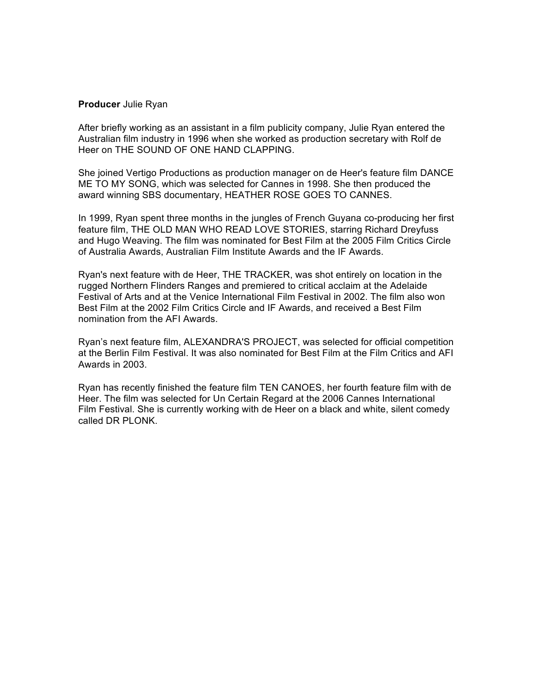#### **Producer** Julie Ryan

After briefly working as an assistant in a film publicity company, Julie Ryan entered the Australian film industry in 1996 when she worked as production secretary with Rolf de Heer on THE SOUND OF ONE HAND CLAPPING.

She joined Vertigo Productions as production manager on de Heer's feature film DANCE ME TO MY SONG, which was selected for Cannes in 1998. She then produced the award winning SBS documentary, HEATHER ROSE GOES TO CANNES.

In 1999, Ryan spent three months in the jungles of French Guyana co-producing her first feature film, THE OLD MAN WHO READ LOVE STORIES, starring Richard Dreyfuss and Hugo Weaving. The film was nominated for Best Film at the 2005 Film Critics Circle of Australia Awards, Australian Film Institute Awards and the IF Awards.

Ryan's next feature with de Heer, THE TRACKER, was shot entirely on location in the rugged Northern Flinders Ranges and premiered to critical acclaim at the Adelaide Festival of Arts and at the Venice International Film Festival in 2002. The film also won Best Film at the 2002 Film Critics Circle and IF Awards, and received a Best Film nomination from the AFI Awards.

Ryan's next feature film, ALEXANDRA'S PROJECT, was selected for official competition at the Berlin Film Festival. It was also nominated for Best Film at the Film Critics and AFI Awards in 2003.

Ryan has recently finished the feature film TEN CANOES, her fourth feature film with de Heer. The film was selected for Un Certain Regard at the 2006 Cannes International Film Festival. She is currently working with de Heer on a black and white, silent comedy called DR PLONK.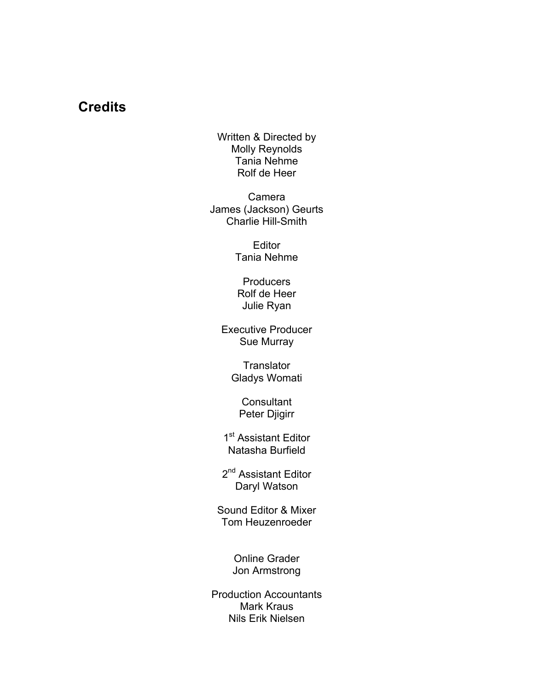# **Credits**

Written & Directed by Molly Reynolds Tania Nehme Rolf de Heer

Camera James (Jackson) Geurts Charlie Hill-Smith

> Editor Tania Nehme

**Producers** Rolf de Heer Julie Ryan

Executive Producer Sue Murray

> **Translator** Gladys Womati

**Consultant** Peter Djigirr

1<sup>st</sup> Assistant Editor Natasha Burfield

2<sup>nd</sup> Assistant Editor Daryl Watson

Sound Editor & Mixer Tom Heuzenroeder

> Online Grader Jon Armstrong

Production Accountants Mark Kraus Nils Erik Nielsen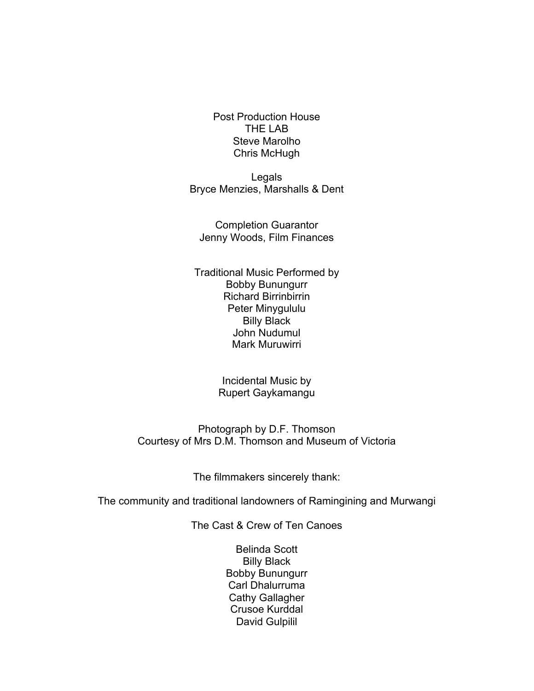Post Production House THE LAB Steve Marolho Chris McHugh

Legals Bryce Menzies, Marshalls & Dent

Completion Guarantor Jenny Woods, Film Finances

Traditional Music Performed by Bobby Bunungurr Richard Birrinbirrin Peter Minygululu Billy Black John Nudumul Mark Muruwirri

> Incidental Music by Rupert Gaykamangu

Photograph by D.F. Thomson Courtesy of Mrs D.M. Thomson and Museum of Victoria

The filmmakers sincerely thank:

The community and traditional landowners of Ramingining and Murwangi

The Cast & Crew of Ten Canoes

Belinda Scott Billy Black Bobby Bunungurr Carl Dhalurruma Cathy Gallagher Crusoe Kurddal David Gulpilil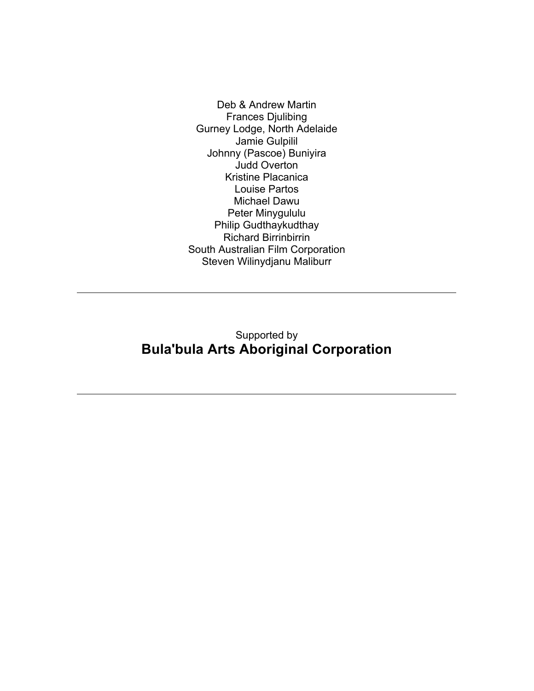Deb & Andrew Martin Frances Djulibing Gurney Lodge, North Adelaide Jamie Gulpilil Johnny (Pascoe) Buniyira Judd Overton Kristine Placanica Louise Partos Michael Dawu Peter Minygululu Philip Gudthaykudthay Richard Birrinbirrin South Australian Film Corporation Steven Wilinydjanu Maliburr

### Supported by **Bula'bula Arts Aboriginal Corporation**